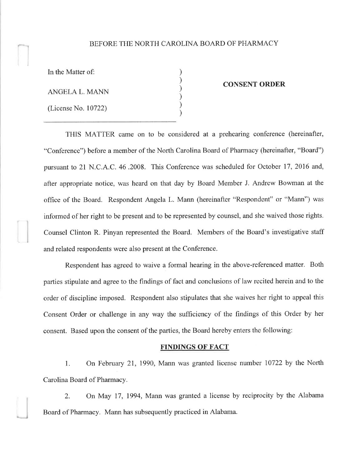## BEFORE THE NORTH CAROLINA BOARD OF PHARMACY

) ) ) ) ) )

In the Matter of:

ANGELA L. MANN

(License No. 10722)

#### CONSENT ORDER

THIS MATTER came on to be considered at a prehearing conference (hereinafter, "Conference") before a member of the North Carolina Board of Pharmacy (hereinafter, "Board") pursuant to 2l N.C.A.C.46.2008. This Conference was scheduled for October 17,2076 and, after appropriate notice, was heard on that day by Board Member J. Andrew Bowman at the office of the Board. Respondent Angela L. Mann (hereinafter "Respondent" or "Mann") was informed of her right to be present and to be represented by counsel, and she waived those rights. Counsel Clinton R. Pinyan represented the Board. Members of the Board's investigative staff and related respondents were also present at the Conference.

Respondent has agreed to waive a formal hearing in the above-referenced matter. Both parties stipulate and agree to the findings of fact and conclusions of law recited herein and to the order of discipline imposed. Respondent also stipulates that she waives her right to appeal this Consent Order or challenge in any way the sufficiency of the findings of this Order by her consent. Based upon the consent of the parties, the Board hereby enters the following:

### FINDINGS OF FACT

1. On February 21, 1990, Mann was granted license number 10722 by the North Carolina Board of Pharmacy.

2. On May 17, 1994, Mann was granted a license by reciprocity by the Alabama Board of Pharmacy. Mann has subsequently practiced in Alabama.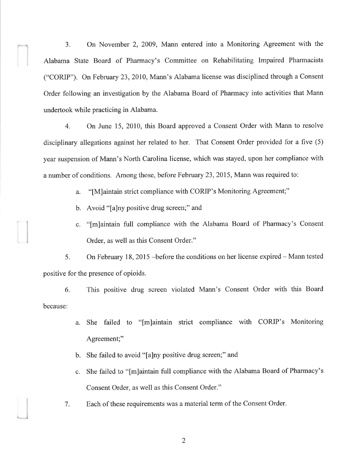3. On November 2, 2009, Mann entered into a Monitoring Agreement with the Alabama State Board of Pharmacy's Committee on Rehabilitating Impaired Pharmacists ("CORIP"). On February 23,2010, Mann's Alabama license was disciplined through a Consent Order following an investigation by the Alabama Board of Pharmacy into activities that Mann undertook while practicing in Alabama.

4. On June 15, 2010, this Board approved a Consent Order with Mann to resolve disciplinary allegations against her related to her. That Consent Order provided for a five (5) year suspension of Mann's North Carolina license, which was stayed, upon her compliance with a number of conditions. Among those, before February 23,2015, Mann was required to:

a. "[M]aintain strict compliance with CORIP's Monitoring Agreement;"

- b. Avoid "[a]ny positive drug screen;" and
- c. "[m]aintain full compliance with the Alabama Board of Pharmacy's Consent Order, as well as this Consent Order."

5. On February 18, 2015 -before the conditions on her license expired - Mann tested positive for the presence of opioids.

6. This positive drug screen violated Mann's Consent Order with this Board because:

- a. She failed to "[m]aintain strict compliance with CORIP's Monitoring Agreement;"
- b. She failed to avoid "[a]ny positive drug screen;" and
- c. She failed to "[m]aintain full compliance with the Alabama Board of Pharmacy's Consent Order, as well as this Consent Order."
- 7. Each of these requirements was a material term of the Consent Order.

2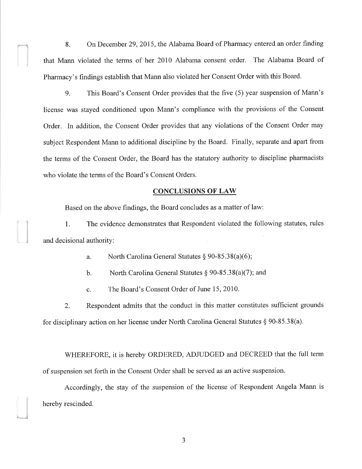8. On December 29,2015, the Alabama Board of Pharmacy entered an order finding that Mann violated the terms of her 2010 Alabama consent order. The Alabama Board of Pharmacy's findings establish that Mann also violated her Consent Order with this Board.

9. This Board's Consent Order provides that the five (5) year suspension of Mann's license was stayed conditioned upon Mann's compliance with the provisions of the Consent Order. In addition, the Consent Order provides that any violations of the Consent Order may subject Respondent Mann to additional discipline by the Board. Finally, separate and apart from the terms of the Consent Order, the Board has the statutory authority to discipline pharmacists who violate the terms of the Board's Consent Orders.

### CONCLUSIONS OF LAW

Based on the above findings, the Board concludes as a matter of law:

1. The evidence demonstrates that Respondent violated the following statutes, rules and decisional authority:

a. North Carolina General Statutes  $§ 90-85.38(a)(6);$ 

b. North Carolina General Statutes  $\S 90-85.38(a)(7)$ ; and

c. The Board's Consent Order of June 15, 2010.

2. Respondent admits that the conduct in this matter constitutes suffrcient grounds for disciplinary action on her license under North Carolina General Statutes \$ 90-85.38(a).

WHEREFORE, it is hereby ORDERED, ADJUDGED and DECREED that the full term of suspension set forth in the Consent Order shall be served as an active suspension.

Accordingly, the stay of the suspension of the license of Respondent Angela Mann is hereby rescinded.

 $\overline{\phantom{a}}$ 

 $\mathfrak{Z}$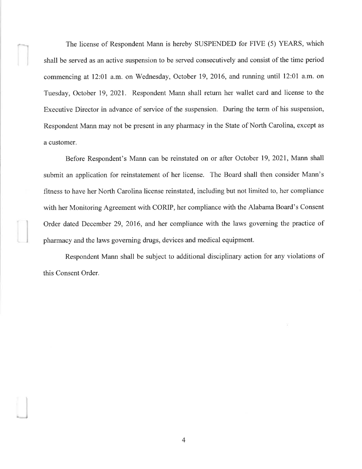The license of Respondent Mann is hereby SUSPENDED for FIVE (5) YEARS, which shall be served as an active suspension to be served consecutively and consist of the time period commencing at 12:01 a.m. on Wednesday, October 19,2016, and running until 12:01 a.m. on Tuesday, October 19,2021. Respondent Mann shall return her wallet card and license to the Executive Director in advance of service of the suspension. During the term of his suspension, Respondent Mann may not be present in any pharmacy in the State of North Carolina, except as a customer.

Before Respondent's Mann can be reinstated on or after October 19,2021, Mann shall submit an application for reinstatement of her license. The Board shall then consider Mann's fitness to have her North Carolina license reinstated, including but not limited to, her compliance with her Monitoring Agreement with CORIP, her compliance with the Alabama Board's Consent Order dated December 29, 2016, and her compliance with the laws governing the practice of pharmacy and the laws governing drugs, devices and medical equipment.

Respondent Mann shall be subject to additional disciplinary action for any violations of this Consent Order.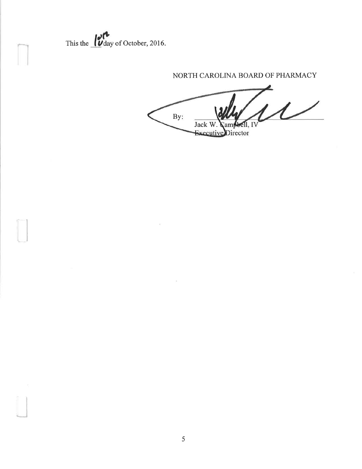This the  $\frac{1}{\sqrt{2}}$  day of October, 2016.

# NORTH CAROLINA BOARD OF PHARMACY

 $\overline{\mathcal{L}}$ By: ell, IV Jack W. am Executive Director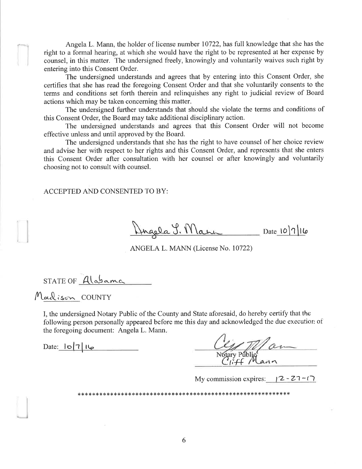Angela L. Mann, the holder of license number 10722, has full knowledge that she has the right to a formal hearing, at which she would have the right to be represented at her expense by counsel, in this matter. The undersigned freely, knowingly and voluntarily waives such right by entering into this Consent Order.

The undersigned understands and agrees that by entering into this Consent Order, she certifies that she has read the foregoing Consent Order and that she voluntarily consents to the terms and conditions set forth therein and relinquishes any right to judicial review of Board actions which may be taken concerning this matter.

The undersigned further understands that should she violate the terms and conditions of this Consent Order, the Board may take additional disciplinary action.

The undersigned understands and agrees that this Consent Order will not become effective unless and until approved by the Board.

The undersigned understands that she has the right to have counsel of her choice review and advise her with respect to her rights and this Consent Order, and represents that she enters this Consent Order after consultation with her counsel or after knowingly and voluntarily choosing not to consult with counsel.

ACCEPTED AND CONSENTED TO BY:

Dingela 9. Marin Date 10/7/16

ANGELA L. MANN (License No. 10722)

 $STATE OF Alabame$ 

Maclison COUNTY

I, the undersigned Notary Public of the County and State aforesaid, do hereby certify that the following person personally appeared before me this day and acknowledged the due execution of the foregoing document: Angela L. Mann.

Date:  $|0|7|16$ 

I Mann

My commission expires:  $\sqrt{2} - 27 - (7)$